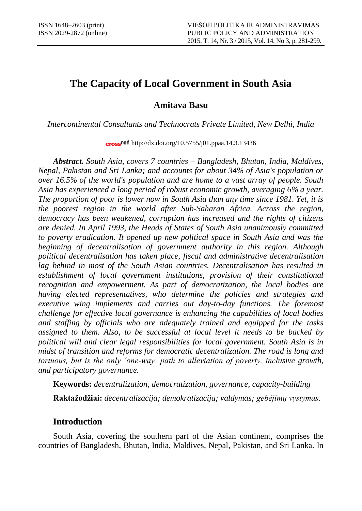# **The Capacity of Local Government in South Asia**

**Amitava Basu**

*Intercontinental Consultants and Technocrats Private Limited, New Delhi, India*

cross<sup>ref</sup> <http://dx.doi.org/10.5755/j01.ppaa.14.3.13436>

*Abstract. South Asia, covers 7 countries – Bangladesh, Bhutan, India, Maldives, Nepal, Pakistan and Sri Lanka; and accounts for about 34% of Asia's population or over 16.5% of the world's population and are home to a vast array of people. South Asia has experienced a long period of robust economic growth, averaging 6% a year. The proportion of poor is lower now in South Asia than any time since 1981. Yet, it is the poorest region in the world after Sub-Saharan Africa. Across the region, democracy has been weakened, corruption has increased and the rights of citizens are denied. In April 1993, the Heads of States of South Asia unanimously committed to poverty eradication. It opened up new political space in South Asia and was the beginning of decentralisation of government authority in this region. Although political decentralisation has taken place, fiscal and administrative decentralisation*  lag behind in most of the South Asian countries. Decentralisation has resulted in *establishment of local government institutions, provision of their constitutional recognition and empowerment. As part of democratization, the local bodies are having elected representatives, who determine the policies and strategies and*  executive wing implements and carries out day-to-day functions. The foremost *challenge for effective local governance is enhancing the capabilities of local bodies and staffing by officials who are adequately trained and equipped for the tasks assigned to them. Also, to be successful at local level it needs to be backed by political will and clear legal responsibilities for local government. South Asia is in midst of transition and reforms for democratic decentralization. The road is long and tortuous, but is the only 'one-way' path to alleviation of poverty, inclusive growth, and participatory governance.*

**Keywords:** *decentralization, democratization, governance, capacity-building* **Raktažodžiai:** *decentralizacija; demokratizacija; valdymas; gebėjimų vystymas.*

### **Introduction**

South Asia, covering the [southern](http://en.wikipedia.org/wiki/South) [part](http://en.wikipedia.org/wiki/Region) of the [Asian](http://en.wikipedia.org/wiki/Asia) [continent,](http://en.wikipedia.org/wiki/Continent) comprises the countries of [Bangladesh,](http://en.wikipedia.org/wiki/Bangladesh) [Bhutan,](http://en.wikipedia.org/wiki/Bhutan) [India,](http://en.wikipedia.org/wiki/India) [Maldives,](http://en.wikipedia.org/wiki/Maldives) [Nepal,](http://en.wikipedia.org/wiki/Nepal) [Pakistan,](http://en.wikipedia.org/wiki/Pakistan) and [Sri Lanka.](http://en.wikipedia.org/wiki/Sri_Lanka) In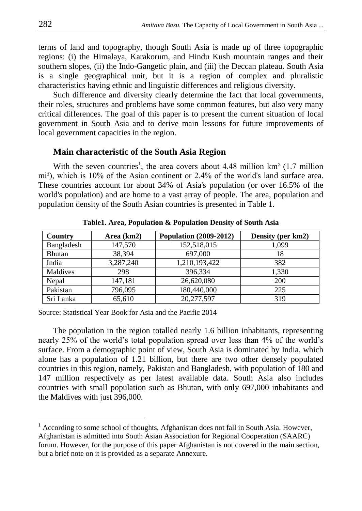terms of land and topography, though South Asia is made up of three topographic regions: (i) the Himalaya, Karakorum, and Hindu Kush mountain ranges and their southern slopes, (ii) the Indo-Gangetic plain, and (iii) the Deccan plateau. South Asia is a single geographical unit, but it is a region of complex and pluralistic characteristics having ethnic and linguistic differences and religious diversity.

Such difference and diversity clearly determine the fact that local governments, their roles, structures and problems have some common features, but also very many critical differences. The goal of this paper is to present the current situation of local government in South Asia and to derive main lessons for future improvements of local government capacities in the region.

#### **Main characteristic of the South Asia Region**

With the seven countries<sup>1</sup>, the area covers about 4.48 million km<sup>2</sup> (1.7 million mi²), which is 10% of the Asian continent or 2.4% of the world's land surface area. These countries account for about 34% of Asia's population (or over 16.5% of the world's population) and are home to a vast array of people. The area, population and population density of the South Asian countries is presented in Table 1.

| Country       | Area (km2) | <b>Population (2009-2012)</b> | Density (per km2) |
|---------------|------------|-------------------------------|-------------------|
| Bangladesh    | 147,570    | 152,518,015                   | 1,099             |
| <b>Bhutan</b> | 38,394     | 697,000                       | 18                |
| India         | 3,287,240  | 1,210,193,422                 | 382               |
| Maldives      | 298        | 396,334                       | 1,330             |
| Nepal         | 147,181    | 26,620,080                    | 200               |
| Pakistan      | 796,095    | 180,440,000                   | 225               |
| Sri Lanka     | 65,610     | 20,277,597                    | 319               |

**Table1. Area, Population & Population Density of South Asia**

Source: Statistical Year Book for Asia and the Pacific 2014

The population in the region totalled nearly 1.6 billion inhabitants, representing nearly 25% of the world's total population spread over less than 4% of the world's surface. From a demographic point of view, South Asia is dominated by India, which alone has a population of 1.21 billion, but there are two other densely populated countries in this region, namely, Pakistan and Bangladesh, with population of 180 and 147 million respectively as per latest available data. South Asia also includes countries with small population such as Bhutan, with only 697,000 inhabitants and the Maldives with just 396,000.

 $\overline{a}$ 

 $1$  According to some school of thoughts, Afghanistan does not fall in South Asia. However, Afghanistan is admitted into South Asian Association for Regional Cooperation (SAARC) forum. However, for the purpose of this paper Afghanistan is not covered in the main section, but a brief note on it is provided as a separate Annexure.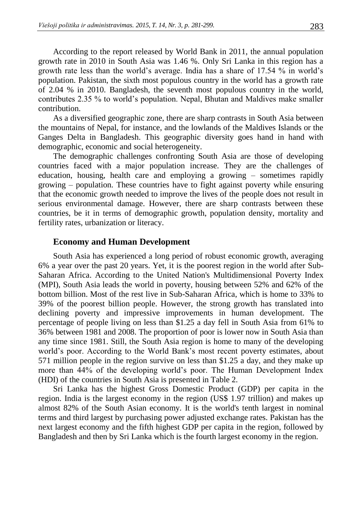According to the report released by World Bank in 2011, the annual population growth rate in 2010 in South Asia was 1.46 %. Only Sri Lanka in this region has a growth rate less than the world's average. India has a share of 17.54 % in world's population. Pakistan, the sixth most populous country in the world has a growth rate of 2.04 % in 2010. Bangladesh, the seventh most populous country in the world, contributes 2.35 % to world's population. Nepal, Bhutan and Maldives make smaller contribution.

As a diversified geographic zone, there are sharp contrasts in South Asia between the mountains of Nepal, for instance, and the lowlands of the Maldives Islands or the Ganges Delta in Bangladesh. This geographic diversity goes hand in hand with demographic, economic and social heterogeneity.

The demographic challenges confronting South Asia are those of developing countries faced with a major population increase. They are the challenges of education, housing, health care and employing a growing – sometimes rapidly growing – population. These countries have to fight against poverty while ensuring that the economic growth needed to improve the lives of the people does not result in serious environmental damage. However, there are sharp contrasts between these countries, be it in terms of demographic growth, population density, mortality and fertility rates, urbanization or literacy.

#### **Economy and Human Development**

South Asia has experienced a long period of robust economic growth, averaging 6% a year over the past 20 years. Yet, it is the poorest region in the world after [Sub-](http://en.wikipedia.org/wiki/Sub-Saharan_Africa)[Saharan Africa.](http://en.wikipedia.org/wiki/Sub-Saharan_Africa) According to the [United Na](http://en.wikipedia.org/wiki/UN)tion's [Multidimensional Poverty Index](http://en.wikipedia.org/wiki/Multidimensional_Poverty_Index) (MPI), South Asia leads the world in poverty, housing between 52% and 62% of the bottom billion. Most of the rest live in Sub-Saharan Africa, which is home to 33% to 39% of the poorest billion people. However, the strong growth has translated into declining poverty and impressive improvements in human development. The percentage of people living on less than \$1.25 a day fell in South Asia from 61% to 36% between 1981 and 2008. The proportion of poor is lower now in South Asia than any time since 1981. Still, the South Asia region is home to many of the developing world's poor. According to the World Bank's most recent [poverty estimates,](http://go.worldbank.org/YJPXVRXNU0) about 571 million people in the region survive on less than \$1.25 a day, and they make up more than 44% of the developing world's poor. The Human Development Index (HDI) of the countries in South Asia is presented in Table 2.

Sri Lanka has the highest Gross Domestic Product [\(GDP\) per capita](http://en.wikipedia.org/wiki/List_of_countries_by_GDP_(nominal)_per_capita) in the region. India is the largest economy in the region (US\$ 1.97 trillion) and makes up almost 82% of the South Asian economy. It is the [world's tenth largest](http://en.wikipedia.org/wiki/List_of_countries_by_GDP_(nominal)) in nominal terms and [third largest](http://en.wikipedia.org/wiki/List_of_countries_by_GDP_(PPP)) by purchasing power adjusted exchange rates. Pakistan has the next largest economy and the fifth highest GDP per capita in the region, followed by Bangladesh and then by [Sri Lanka](http://en.wikipedia.org/wiki/Sri_Lanka) which is the fourth largest economy in the region.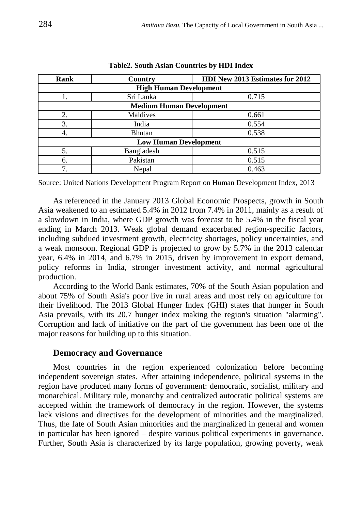| <b>Rank</b>                     | Country       | <b>HDI New 2013 Estimates for 2012</b> |  |
|---------------------------------|---------------|----------------------------------------|--|
| <b>High Human Development</b>   |               |                                        |  |
| 1.                              | Sri Lanka     | 0.715                                  |  |
| <b>Medium Human Development</b> |               |                                        |  |
| 2.                              | Maldives      | 0.661                                  |  |
| 3.                              | India         | 0.554                                  |  |
| 4.                              | <b>Bhutan</b> | 0.538                                  |  |
| <b>Low Human Development</b>    |               |                                        |  |
| 5.                              | Bangladesh    | 0.515                                  |  |
| 6.                              | Pakistan      | 0.515                                  |  |
| $\mathcal{I}$                   | Nepal         | 0.463                                  |  |

**Table2. South Asian Countries by HDI Index**

Source: United Nations Development Program Report on Human Development Index, 2013

As referenced in the January 2013 [Global Economic Prospects,](http://web.worldbank.org/WBSITE/EXTERNAL/EXTDEC/EXTDECPROSPECTS/EXTGBLPROSPECTSAPRIL/0,,menuPK:659178~pagePK:64218926~piPK:64218953~theSitePK:659149,00.html) growth in South Asia weakened to an estimated 5.4% in 2012 from 7.4% in 2011, mainly as a result of a slowdown in India, where GDP growth was forecast to be 5.4% in the fiscal year ending in March 2013. Weak global demand exacerbated region-specific factors, including subdued investment growth, electricity shortages, policy uncertainties, and a weak monsoon. Regional GDP is projected to grow by 5.7% in the 2013 calendar year, 6.4% in 2014, and 6.7% in 2015, driven by improvement in export demand, policy reforms in India, stronger investment activity, and normal agricultural production.

According to the [World Bank](http://en.wikipedia.org/wiki/World_Bank) estimates, 70% of the South Asian population and about 75% of South Asia's poor live in rural areas and most rely on agriculture for their livelihood. The 2013 Global Hunger Index (GHI) states that hunger in [South](http://en.wikipedia.org/wiki/South_Asia)  [Asia](http://en.wikipedia.org/wiki/South_Asia) prevails, with its 20.7 hunger index making the region's situation "alarming". Corruption and lack of initiative on the part of the government has been one of the major reasons for building up to this situation.

### **Democracy and Governance**

Most countries in the region experienced colonization before becoming independent sovereign states. After attaining independence, political systems in the region have produced many forms of government: democratic, socialist, military and monarchical. Military rule, monarchy and centralized autocratic political systems are accepted within the framework of democracy in the region. However, the systems lack visions and directives for the development of minorities and the marginalized. Thus, the fate of South Asian minorities and the marginalized in general and women in particular has been ignored – despite various political experiments in governance. Further, South Asia is characterized by its large population, growing poverty, weak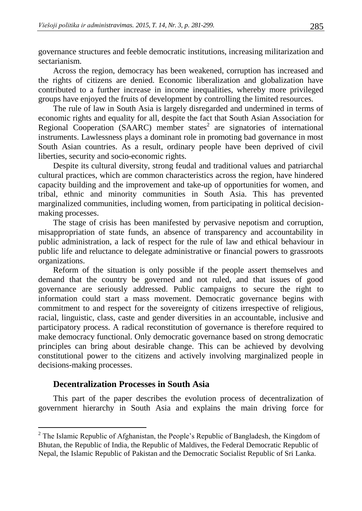governance structures and feeble democratic institutions, increasing militarization and sectarianism.

Across the region, democracy has been weakened, corruption has increased and the rights of citizens are denied. Economic liberalization and globalization have contributed to a further increase in income inequalities, whereby more privileged groups have enjoyed the fruits of development by controlling the limited resources.

The rule of law in South Asia is largely disregarded and undermined in terms of economic rights and equality for all, despite the fact that South Asian Association for Regional Cooperation (SAARC) member states<sup>2</sup> are signatories of international instruments. Lawlessness plays a dominant role in promoting bad governance in most South Asian countries. As a result, ordinary people have been deprived of civil liberties, security and socio-economic rights.

Despite its cultural diversity, strong feudal and traditional values and patriarchal cultural practices, which are common characteristics across the region, have hindered capacity building and the improvement and take-up of opportunities for women, and tribal, ethnic and minority communities in South Asia. This has prevented marginalized communities, including women, from participating in political decisionmaking processes.

The stage of crisis has been manifested by pervasive nepotism and corruption, misappropriation of state funds, an absence of transparency and accountability in public administration, a lack of respect for the rule of law and ethical behaviour in public life and reluctance to delegate administrative or financial powers to grassroots organizations.

Reform of the situation is only possible if the people assert themselves and demand that the country be governed and not ruled, and that issues of good governance are seriously addressed. Public campaigns to secure the right to information could start a mass movement. Democratic governance begins with commitment to and respect for the sovereignty of citizens irrespective of religious, racial, linguistic, class, caste and gender diversities in an accountable, inclusive and participatory process. A radical reconstitution of governance is therefore required to make democracy functional. Only democratic governance based on strong democratic principles can bring about desirable change. This can be achieved by devolving constitutional power to the citizens and actively involving marginalized people in decisions-making processes.

#### **Decentralization Processes in South Asia**

 $\overline{a}$ 

This part of the paper describes the evolution process of decentralization of government hierarchy in South Asia and explains the main driving force for

<sup>&</sup>lt;sup>2</sup> The Islamic Republic of Afghanistan, the People's Republic of Bangladesh, the Kingdom of Bhutan, the Republic of India, the Republic of Maldives, the Federal Democratic Republic of Nepal, the Islamic Republic of Pakistan and the Democratic Socialist Republic of Sri Lanka.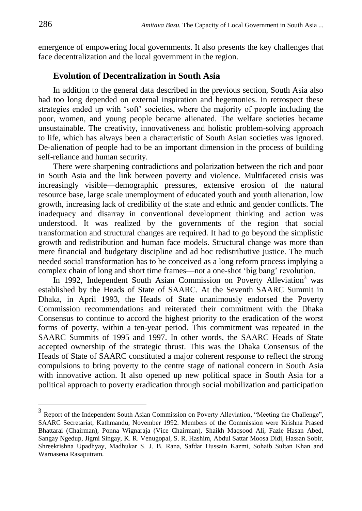emergence of empowering local governments. It also presents the key challenges that face decentralization and the local government in the region.

#### **Evolution of Decentralization in South Asia**

In addition to the general data described in the previous section, South Asia also had too long depended on external inspiration and hegemonies. In retrospect these strategies ended up with 'soft' societies, where the majority of people including the poor, women, and young people became alienated. The welfare societies became unsustainable. The creativity, innovativeness and holistic problem-solving approach to life, which has always been a characteristic of South Asian societies was ignored. De-alienation of people had to be an important dimension in the process of building self-reliance and human security.

There were sharpening contradictions and polarization between the rich and poor in South Asia and the link between poverty and violence. Multifaceted crisis was increasingly visible—demographic pressures, extensive erosion of the natural resource base, large scale unemployment of educated youth and youth alienation, low growth, increasing lack of credibility of the state and ethnic and gender conflicts. The inadequacy and disarray in conventional development thinking and action was understood. It was realized by the governments of the region that social transformation and structural changes are required. It had to go beyond the simplistic growth and redistribution and human face models. Structural change was more than mere financial and budgetary discipline and ad hoc redistributive justice. The much needed social transformation has to be conceived as a long reform process implying a complex chain of long and short time frames—not a one-shot 'big bang' revolution.

In 1992, Independent South Asian Commission on Poverty Alleviation<sup>3</sup> was established by the Heads of State of SAARC. At the Seventh SAARC Summit in Dhaka, in April 1993, the Heads of State unanimously endorsed the Poverty Commission recommendations and reiterated their commitment with the Dhaka Consensus to continue to accord the highest priority to the eradication of the worst forms of poverty, within a ten-year period. This commitment was repeated in the SAARC Summits of 1995 and 1997. In other words, the SAARC Heads of State accepted ownership of the strategic thrust. This was the Dhaka Consensus of the Heads of State of SAARC constituted a major coherent response to reflect the strong compulsions to bring poverty to the centre stage of national concern in South Asia with innovative action. It also opened up new political space in South Asia for a political approach to poverty eradication through social mobilization and participation

 $\overline{a}$ 

 $3$  Report of the Independent South Asian Commission on Poverty Alleviation, "Meeting the Challenge", SAARC Secretariat, Kathmandu, November 1992. Members of the Commission were Krishna Prased Bhattarai (Chairman), Ponna Wignaraja (Vice Chairman), Shaikh Maqsood Ali, Fazle Hasan Abed, Sangay Ngedup, Jigmi Singay, K. R. Venugopal, S. R. Hashim, Abdul Sattar Moosa Didi, Hassan Sobir, Shreekrishna Upadhyay, Madhukar S. J. B. Rana, Safdar Hussain Kazmi, Sohaib Sultan Khan and Warnasena Rasaputram.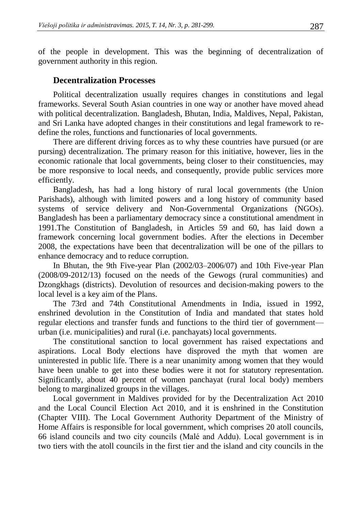of the people in development. This was the beginning of decentralization of government authority in this region.

# **Decentralization Processes**

Political decentralization usually requires changes in constitutions and legal frameworks. Several South Asian countries in one way or another have moved ahead with political decentralization. Bangladesh, Bhutan, India, Maldives, Nepal, Pakistan, and Sri Lanka have adopted changes in their constitutions and legal framework to redefine the roles, functions and functionaries of local governments.

There are different driving forces as to why these countries have pursued (or are pursing) decentralization. The primary reason for this initiative, however, lies in the economic rationale that local governments, being closer to their constituencies, may be more responsive to local needs, and consequently, provide public services more efficiently.

Bangladesh, has had a long history of rural local governments (the Union Parishads), although with limited powers and a long history of community based systems of service delivery and Non-Governmental Organizations (NGOs). Bangladesh has been a parliamentary democracy since a constitutional amendment in 1991.The Constitution of Bangladesh, in Articles 59 and 60, has laid down a framework concerning local government bodies. After the elections in December 2008, the expectations have been that decentralization will be one of the pillars to enhance democracy and to reduce corruption.

In Bhutan, the 9th Five-year Plan (2002/03–2006/07) and 10th Five-year Plan (2008/09-2012/13) focused on the needs of the Gewogs (rural communities) and Dzongkhags (districts). Devolution of resources and decision-making powers to the local level is a key aim of the Plans.

The 73rd and 74th Constitutional Amendments in India, issued in 1992, enshrined devolution in the Constitution of India and mandated that states hold regular elections and transfer funds and functions to the third tier of government urban (i.e. municipalities) and rural (i.e. panchayats) local governments.

The constitutional sanction to local government has raised expectations and aspirations. Local Body elections have disproved the myth that women are uninterested in public life. There is a near unanimity among women that they would have been unable to get into these bodies were it not for statutory representation. Significantly, about 40 percent of women panchayat (rural local body) members belong to marginalized groups in the villages.

Local government in Maldives provided for by the Decentralization Act 2010 and the Local Council Election Act 2010, and it is enshrined in the Constitution (Chapter VIII). The Local Government Authority Department of the Ministry of Home Affairs is responsible for local government, which comprises 20 atoll councils, 66 island councils and two city councils (Malé and Addu). Local government is in two tiers with the atoll councils in the first tier and the island and city councils in the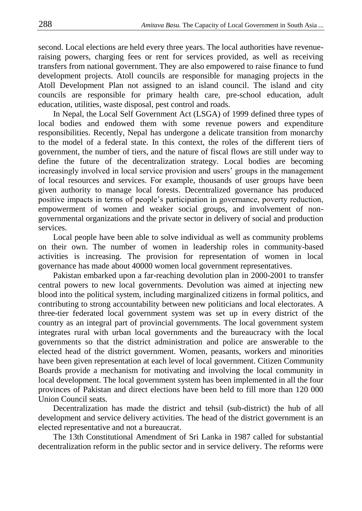second. Local elections are held every three years. The local authorities have revenueraising powers, charging fees or rent for services provided, as well as receiving transfers from national government. They are also empowered to raise finance to fund development projects. Atoll councils are responsible for managing projects in the Atoll Development Plan not assigned to an island council. The island and city councils are responsible for primary health care, pre-school education, adult education, utilities, waste disposal, pest control and roads.

In Nepal, the Local Self Government Act (LSGA) of 1999 defined three types of local bodies and endowed them with some revenue powers and expenditure responsibilities. Recently, Nepal has undergone a delicate transition from monarchy to the model of a federal state. In this context, the roles of the different tiers of government, the number of tiers, and the nature of fiscal flows are still under way to define the future of the decentralization strategy. Local bodies are becoming increasingly involved in local service provision and users' groups in the management of local resources and services. For example, thousands of user groups have been given authority to manage local forests. Decentralized governance has produced positive impacts in terms of people's participation in governance, poverty reduction, empowerment of women and weaker social groups, and involvement of nongovernmental organizations and the private sector in delivery of social and production services.

Local people have been able to solve individual as well as community problems on their own. The number of women in leadership roles in community-based activities is increasing. The provision for representation of women in local governance has made about 40000 women local government representatives.

Pakistan embarked upon a far-reaching devolution plan in 2000-2001 to transfer central powers to new local governments. Devolution was aimed at injecting new blood into the political system, including marginalized citizens in formal politics, and contributing to strong accountability between new politicians and local electorates. A three-tier federated local government system was set up in every district of the country as an integral part of provincial governments. The local government system integrates rural with urban local governments and the bureaucracy with the local governments so that the district administration and police are answerable to the elected head of the district government. Women, peasants, workers and minorities have been given representation at each level of local government. Citizen Community Boards provide a mechanism for motivating and involving the local community in local development. The local government system has been implemented in all the four provinces of Pakistan and direct elections have been held to fill more than 120 000 Union Council seats.

Decentralization has made the district and tehsil (sub-district) the hub of all development and service delivery activities. The head of the district government is an elected representative and not a bureaucrat.

The 13th Constitutional Amendment of Sri Lanka in 1987 called for substantial decentralization reform in the public sector and in service delivery. The reforms were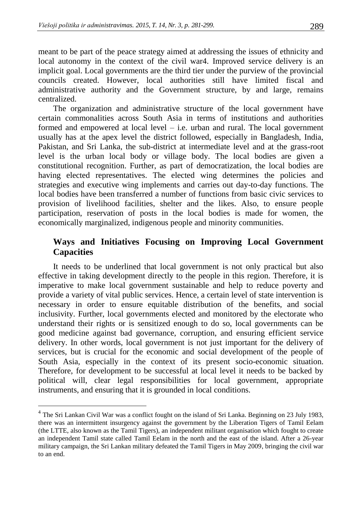meant to be part of the peace strategy aimed at addressing the issues of ethnicity and local autonomy in the context of the civil war4. Improved service delivery is an implicit goal. Local governments are the third tier under the purview of the provincial councils created. However, local authorities still have limited fiscal and administrative authority and the Government structure, by and large, remains centralized.

The organization and administrative structure of the local government have certain commonalities across South Asia in terms of institutions and authorities formed and empowered at local level – i.e. urban and rural. The local government usually has at the apex level the district followed, especially in Bangladesh, India, Pakistan, and Sri Lanka, the sub-district at intermediate level and at the grass-root level is the urban local body or village body. The local bodies are given a constitutional recognition. Further, as part of democratization, the local bodies are having elected representatives. The elected wing determines the policies and strategies and executive wing implements and carries out day-to-day functions. The local bodies have been transferred a number of functions from basic civic services to provision of livelihood facilities, shelter and the likes. Also, to ensure people participation, reservation of posts in the local bodies is made for women, the economically marginalized, indigenous people and minority communities.

# **Ways and Initiatives Focusing on Improving Local Government Capacities**

It needs to be underlined that local government is not only practical but also effective in taking development directly to the people in this region. Therefore, it is imperative to make local government sustainable and help to reduce poverty and provide a variety of vital public services. Hence, a certain level of state intervention is necessary in order to ensure equitable distribution of the benefits, and social inclusivity. Further, local governments elected and monitored by the electorate who understand their rights or is sensitized enough to do so, local governments can be good medicine against bad governance, corruption, and ensuring efficient service delivery. In other words, local government is not just important for the delivery of services, but is crucial for the economic and social development of the people of South Asia, especially in the context of its present socio-economic situation. Therefore, for development to be successful at local level it needs to be backed by political will, clear legal responsibilities for local government, appropriate instruments, and ensuring that it is grounded in local conditions.

 $\overline{a}$ 

<sup>&</sup>lt;sup>4</sup> The Sri Lankan Civil War was a conflict fought on the island o[f Sri Lanka.](http://en.wikipedia.org/wiki/Sri_Lanka) Beginning on 23 July 1983, there was an intermittent [insurgency](http://en.wikipedia.org/wiki/Insurgency) against the [government](http://en.wikipedia.org/wiki/Government_of_Sri_Lanka) by the [Liberation Tigers of Tamil Eelam](http://en.wikipedia.org/wiki/Liberation_Tigers_of_Tamil_Eelam) (the LTTE, also known as the Tamil Tigers), an [independent](http://en.wikipedia.org/wiki/Independence) militant organisation which fought to create an [independent](http://en.wikipedia.org/wiki/Independence) [Tamil](http://en.wikipedia.org/wiki/Tamil_people) state called [Tamil Eelam](http://en.wikipedia.org/wiki/Tamil_Eelam) in the north and the east of the island. After a 26-year military campaign, th[e Sri Lankan military defeated the Tamil Tigers in May 2009,](http://en.wikipedia.org/wiki/2008%E2%80%932009_Sri_Lankan_Army_Northern_offensive) bringing the civil war to an end.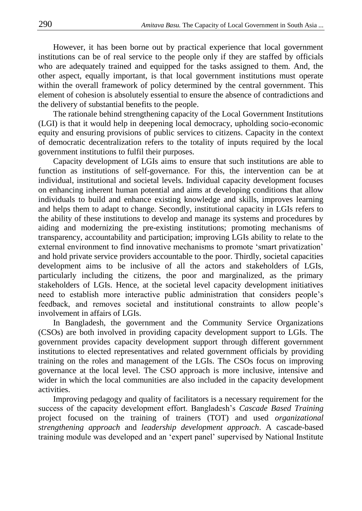However, it has been borne out by practical experience that local government institutions can be of real service to the people only if they are staffed by officials who are adequately trained and equipped for the tasks assigned to them. And, the other aspect, equally important, is that local government institutions must operate within the overall framework of policy determined by the central government. This element of cohesion is absolutely essential to ensure the absence of contradictions and the delivery of substantial benefits to the people.

The rationale behind strengthening capacity of the Local Government Institutions (LGI) is that it would help in deepening local democracy, upholding socio-economic equity and ensuring provisions of public services to citizens. Capacity in the context of democratic decentralization refers to the totality of inputs required by the local government institutions to fulfil their purposes.

Capacity development of LGIs aims to ensure that such institutions are able to function as institutions of self-governance. For this, the intervention can be at individual, institutional and societal levels. Individual capacity development focuses on enhancing inherent human potential and aims at developing conditions that allow individuals to build and enhance existing knowledge and skills, improves learning and helps them to adapt to change. Secondly, institutional capacity in LGIs refers to the ability of these institutions to develop and manage its systems and procedures by aiding and modernizing the pre-existing institutions; promoting mechanisms of transparency, accountability and participation; improving LGIs ability to relate to the external environment to find innovative mechanisms to promote 'smart privatization' and hold private service providers accountable to the poor. Thirdly, societal capacities development aims to be inclusive of all the actors and stakeholders of LGIs, particularly including the citizens, the poor and marginalized, as the primary stakeholders of LGIs. Hence, at the societal level capacity development initiatives need to establish more interactive public administration that considers people's feedback, and removes societal and institutional constraints to allow people's involvement in affairs of LGIs.

In Bangladesh, the government and the Community Service Organizations (CSOs) are both involved in providing capacity development support to LGIs. The government provides capacity development support through different government institutions to elected representatives and related government officials by providing training on the roles and management of the LGIs. The CSOs focus on improving governance at the local level. The CSO approach is more inclusive, intensive and wider in which the local communities are also included in the capacity development activities.

Improving pedagogy and quality of facilitators is a necessary requirement for the success of the capacity development effort. Bangladesh's *Cascade Based Training*  project focused on the training of trainers (TOT) and used *organizational strengthening approach* and *leadership development approach*. A cascade-based training module was developed and an 'expert panel' supervised by National Institute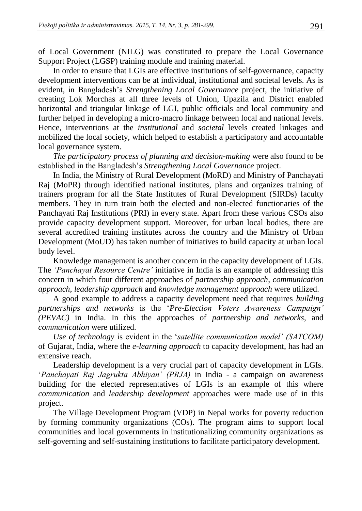of Local Government (NILG) was constituted to prepare the Local Governance Support Project (LGSP) training module and training material.

In order to ensure that LGIs are effective institutions of self-governance, capacity development interventions can be at individual, institutional and societal levels. As is evident, in Bangladesh's *Strengthening Local Governance* project, the initiative of creating Lok Morchas at all three levels of Union, Upazila and District enabled horizontal and triangular linkage of LGI, public officials and local community and further helped in developing a micro-macro linkage between local and national levels. Hence, interventions at the *institutional* and *societal* levels created linkages and mobilized the local society, which helped to establish a participatory and accountable local governance system.

*The participatory process of planning and decision-making* were also found to be established in the Bangladesh's *Strengthening Local Governance* project.

In India, the Ministry of Rural Development (MoRD) and Ministry of Panchayati Raj (MoPR) through identified national institutes, plans and organizes training of trainers program for all the State Institutes of Rural Development (SIRDs) faculty members. They in turn train both the elected and non-elected functionaries of the Panchayati Raj Institutions (PRI) in every state. Apart from these various CSOs also provide capacity development support. Moreover, for urban local bodies, there are several accredited training institutes across the country and the Ministry of Urban Development (MoUD) has taken number of initiatives to build capacity at urban local body level.

Knowledge management is another concern in the capacity development of LGIs. The *'Panchayat Resource Centre'* initiative in India is an example of addressing this concern in which four different approaches of *partnership approach*, *communication approach*, *leadership approach* and *knowledge management approach* were utilized.

A good example to address a capacity development need that requires *building partnerships and networks* is the '*Pre-Election Voters Awareness Campaign' (PEVAC)* in India. In this the approaches of *partnership and networks*, and *communication* were utilized.

*Use of technology* is evident in the '*satellite communication model' (SATCOM)*  of Gujarat, India, where the *e-learning approach* to capacity development, has had an extensive reach.

Leadership development is a very crucial part of capacity development in LGIs. '*Panchayati Raj Jagrukta Abhiyan' (PRJA)* in India - a campaign on awareness building for the elected representatives of LGIs is an example of this where *communication* and *leadership development* approaches were made use of in this project.

The Village Development Program (VDP) in Nepal works for poverty reduction by forming community organizations (COs). The program aims to support local communities and local governments in institutionalizing community organizations as self-governing and self-sustaining institutions to facilitate participatory development.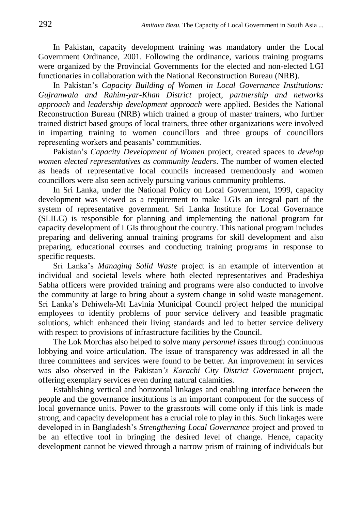In Pakistan, capacity development training was mandatory under the Local Government Ordinance, 2001. Following the ordinance, various training programs were organized by the Provincial Governments for the elected and non-elected LGI functionaries in collaboration with the National Reconstruction Bureau (NRB).

In Pakistan's *Capacity Building of Women in Local Governance Institutions: Gujranwala and Rahim-yar-Khan District* project, *partnership and networks approach* and *leadership development approach* were applied. Besides the National Reconstruction Bureau (NRB) which trained a group of master trainers, who further trained district based groups of local trainers, three other organizations were involved in imparting training to women councillors and three groups of councillors representing workers and peasants' communities.

Pakistan's *Capacity Development of Women* project, created spaces to *develop women elected representatives as community leaders*. The number of women elected as heads of representative local councils increased tremendously and women councillors were also seen actively pursuing various community problems.

In Sri Lanka, under the National Policy on Local Government, 1999, capacity development was viewed as a requirement to make LGIs an integral part of the system of representative government. Sri Lanka Institute for Local Governance (SLILG) is responsible for planning and implementing the national program for capacity development of LGIs throughout the country. This national program includes preparing and delivering annual training programs for skill development and also preparing, educational courses and conducting training programs in response to specific requests.

Sri Lanka's *Managing Solid Waste* project is an example of intervention at individual and societal levels where both elected representatives and Pradeshiya Sabha officers were provided training and programs were also conducted to involve the community at large to bring about a system change in solid waste management. Sri Lanka's Dehiwela-Mt Lavinia Municipal Council project helped the municipal employees to identify problems of poor service delivery and feasible pragmatic solutions, which enhanced their living standards and led to better service delivery with respect to provisions of infrastructure facilities by the Council.

The Lok Morchas also helped to solve many *personnel issues* through continuous lobbying and voice articulation. The issue of transparency was addressed in all the three committees and services were found to be better. An improvement in services was also observed in the Pakistan*'s Karachi City District Government* project, offering exemplary services even during natural calamities.

Establishing vertical and horizontal linkages and enabling interface between the people and the governance institutions is an important component for the success of local governance units. Power to the grassroots will come only if this link is made strong, and capacity development has a crucial role to play in this. Such linkages were developed in in Bangladesh's *Strengthening Local Governance* project and proved to be an effective tool in bringing the desired level of change. Hence, capacity development cannot be viewed through a narrow prism of training of individuals but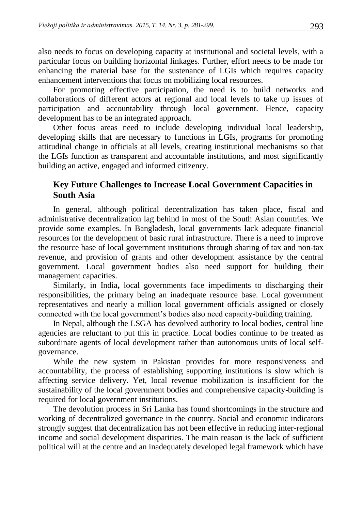also needs to focus on developing capacity at institutional and societal levels, with a particular focus on building horizontal linkages. Further, effort needs to be made for enhancing the material base for the sustenance of LGIs which requires capacity enhancement interventions that focus on mobilizing local resources.

For promoting effective participation, the need is to build networks and collaborations of different actors at regional and local levels to take up issues of participation and accountability through local government. Hence, capacity development has to be an integrated approach.

Other focus areas need to include developing individual local leadership, developing skills that are necessary to functions in LGIs, programs for promoting attitudinal change in officials at all levels, creating institutional mechanisms so that the LGIs function as transparent and accountable institutions, and most significantly building an active, engaged and informed citizenry.

# **Key Future Challenges to Increase Local Government Capacities in South Asia**

In general, although political decentralization has taken place, fiscal and administrative decentralization lag behind in most of the South Asian countries. We provide some examples. In Bangladesh, local governments lack adequate financial resources for the development of basic rural infrastructure. There is a need to improve the resource base of local government institutions through sharing of tax and non-tax revenue, and provision of grants and other development assistance by the central government. Local government bodies also need support for building their management capacities.

Similarly, in India**,** local governments face impediments to discharging their responsibilities, the primary being an inadequate resource base. Local government representatives and nearly a million local government officials assigned or closely connected with the local government's bodies also need capacity-building training.

In Nepal, although the LSGA has devolved authority to local bodies, central line agencies are reluctant to put this in practice. Local bodies continue to be treated as subordinate agents of local development rather than autonomous units of local selfgovernance.

While the new system in Pakistan provides for more responsiveness and accountability, the process of establishing supporting institutions is slow which is affecting service delivery. Yet, local revenue mobilization is insufficient for the sustainability of the local government bodies and comprehensive capacity-building is required for local government institutions.

The devolution process in Sri Lanka has found shortcomings in the structure and working of decentralized governance in the country. Social and economic indicators strongly suggest that decentralization has not been effective in reducing inter-regional income and social development disparities. The main reason is the lack of sufficient political will at the centre and an inadequately developed legal framework which have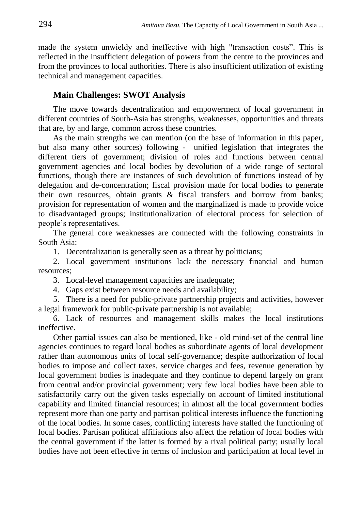made the system unwieldy and ineffective with high "transaction costs". This is reflected in the insufficient delegation of powers from the centre to the provinces and from the provinces to local authorities. There is also insufficient utilization of existing technical and management capacities.

# **Main Challenges: SWOT Analysis**

The move towards decentralization and empowerment of local government in different countries of South-Asia has strengths, weaknesses, opportunities and threats that are, by and large, common across these countries.

As the main strengths we can mention (on the base of information in this paper, but also many other sources) following - unified legislation that integrates the different tiers of government; division of roles and functions between central government agencies and local bodies by devolution of a wide range of sectoral functions, though there are instances of such devolution of functions instead of by delegation and de-concentration; fiscal provision made for local bodies to generate their own resources, obtain grants  $\&$  fiscal transfers and borrow from banks; provision for representation of women and the marginalized is made to provide voice to disadvantaged groups; institutionalization of electoral process for selection of people's representatives.

The general core weaknesses are connected with the following constraints in South Asia:

1. Decentralization is generally seen as a threat by politicians;

2. Local government institutions lack the necessary financial and human resources;

3. Local-level management capacities are inadequate;

4. Gaps exist between resource needs and availability;

5. There is a need for public-private partnership projects and activities, however a legal framework for public-private partnership is not available;

6. Lack of resources and management skills makes the local institutions ineffective.

Other partial issues can also be mentioned, like - old mind-set of the central line agencies continues to regard local bodies as subordinate agents of local development rather than autonomous units of local self-governance; despite authorization of local bodies to impose and collect taxes, service charges and fees, revenue generation by local government bodies is inadequate and they continue to depend largely on grant from central and/or provincial government; very few local bodies have been able to satisfactorily carry out the given tasks especially on account of limited institutional capability and limited financial resources; in almost all the local government bodies represent more than one party and partisan political interests influence the functioning of the local bodies. In some cases, conflicting interests have stalled the functioning of local bodies. Partisan political affiliations also affect the relation of local bodies with the central government if the latter is formed by a rival political party; usually local bodies have not been effective in terms of inclusion and participation at local level in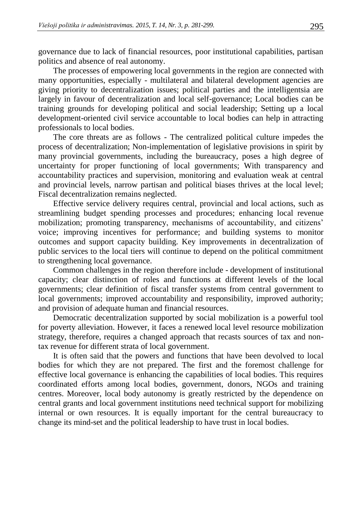governance due to lack of financial resources, poor institutional capabilities, partisan politics and absence of real autonomy.

The processes of empowering local governments in the region are connected with many opportunities, especially - multilateral and bilateral development agencies are giving priority to decentralization issues; political parties and the intelligentsia are largely in favour of decentralization and local self-governance; Local bodies can be training grounds for developing political and social leadership; Setting up a local development-oriented civil service accountable to local bodies can help in attracting professionals to local bodies.

The core threats are as follows - The centralized political culture impedes the process of decentralization; Non-implementation of legislative provisions in spirit by many provincial governments, including the bureaucracy, poses a high degree of uncertainty for proper functioning of local governments; With transparency and accountability practices and supervision, monitoring and evaluation weak at central and provincial levels, narrow partisan and political biases thrives at the local level; Fiscal decentralization remains neglected.

Effective service delivery requires central, provincial and local actions, such as streamlining budget spending processes and procedures; enhancing local revenue mobilization; promoting transparency, mechanisms of accountability, and citizens' voice; improving incentives for performance; and building systems to monitor outcomes and support capacity building. Key improvements in decentralization of public services to the local tiers will continue to depend on the political commitment to strengthening local governance.

Common challenges in the region therefore include - development of institutional capacity; clear distinction of roles and functions at different levels of the local governments; clear definition of fiscal transfer systems from central government to local governments; improved accountability and responsibility, improved authority; and provision of adequate human and financial resources.

Democratic decentralization supported by social mobilization is a powerful tool for poverty alleviation. However, it faces a renewed local level resource mobilization strategy, therefore, requires a changed approach that recasts sources of tax and nontax revenue for different strata of local government.

It is often said that the powers and functions that have been devolved to local bodies for which they are not prepared. The first and the foremost challenge for effective local governance is enhancing the capabilities of local bodies. This requires coordinated efforts among local bodies, government, donors, NGOs and training centres. Moreover, local body autonomy is greatly restricted by the dependence on central grants and local government institutions need technical support for mobilizing internal or own resources. It is equally important for the central bureaucracy to change its mind-set and the political leadership to have trust in local bodies.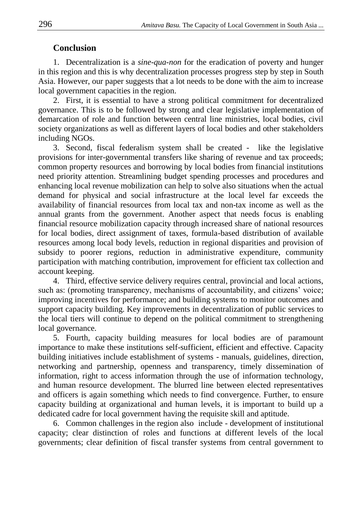# **Conclusion**

1. Decentralization is a *sine-qua-non* for the eradication of poverty and hunger in this region and this is why decentralization processes progress step by step in South Asia. However, our paper suggests that a lot needs to be done with the aim to increase local government capacities in the region.

2. First, it is essential to have a strong political commitment for decentralized governance. This is to be followed by strong and clear legislative implementation of demarcation of role and function between central line ministries, local bodies, civil society organizations as well as different layers of local bodies and other stakeholders including NGOs.

3. Second, fiscal federalism system shall be created - like the legislative provisions for inter-governmental transfers like sharing of revenue and tax proceeds; common property resources and borrowing by local bodies from financial institutions need priority attention. Streamlining budget spending processes and procedures and enhancing local revenue mobilization can help to solve also situations when the actual demand for physical and social infrastructure at the local level far exceeds the availability of financial resources from local tax and non-tax income as well as the annual grants from the government. Another aspect that needs focus is enabling financial resource mobilization capacity through increased share of national resources for local bodies, direct assignment of taxes, formula-based distribution of available resources among local body levels, reduction in regional disparities and provision of subsidy to poorer regions, reduction in administrative expenditure, community participation with matching contribution, improvement for efficient tax collection and account keeping.

4. Third, effective service delivery requires central, provincial and local actions, such as: (promoting transparency, mechanisms of accountability, and citizens' voice; improving incentives for performance; and building systems to monitor outcomes and support capacity building. Key improvements in decentralization of public services to the local tiers will continue to depend on the political commitment to strengthening local governance.

5. Fourth, capacity building measures for local bodies are of paramount importance to make these institutions self-sufficient, efficient and effective. Capacity building initiatives include establishment of systems - manuals, guidelines, direction, networking and partnership, openness and transparency, timely dissemination of information, right to access information through the use of information technology, and human resource development. The blurred line between elected representatives and officers is again something which needs to find convergence. Further, to ensure capacity building at organizational and human levels, it is important to build up a dedicated cadre for local government having the requisite skill and aptitude.

6. Common challenges in the region also include - development of institutional capacity; clear distinction of roles and functions at different levels of the local governments; clear definition of fiscal transfer systems from central government to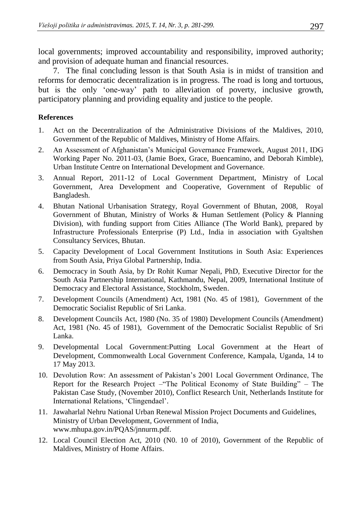local governments; improved accountability and responsibility, improved authority; and provision of adequate human and financial resources.

7. The final concluding lesson is that South Asia is in midst of transition and reforms for democratic decentralization is in progress. The road is long and tortuous, but is the only 'one-way' path to alleviation of poverty, inclusive growth, participatory planning and providing equality and justice to the people.

### **References**

- 1. Act on the Decentralization of the Administrative Divisions of the Maldives, 2010, Government of the Republic of Maldives, Ministry of Home Affairs.
- 2. An Assessment of Afghanistan's Municipal Governance Framework, August 2011, IDG Working Paper No. 2011-03, (Jamie Boex, Grace, Buencamino, and Deborah Kimble), Urban Institute Centre on International Development and Governance.
- 3. Annual Report, 2011-12 of Local Government Department, Ministry of Local Government, Area Development and Cooperative, Government of Republic of Bangladesh.
- 4. Bhutan National Urbanisation Strategy, Royal Government of Bhutan, 2008, Royal Government of Bhutan, Ministry of Works & Human Settlement (Policy & Planning Division), with funding support from Cities Alliance (The World Bank), prepared by Infrastructure Professionals Enterprise (P) Ltd., India in association with Gyaltshen Consultancy Services, Bhutan.
- 5. Capacity Development of Local Government Institutions in South Asia: Experiences from South Asia, Priya Global Partnership, India.
- 6. Democracy in South Asia, by Dr Rohit Kumar Nepali, PhD, Executive Director for the South Asia Partnership International, Kathmandu, Nepal, 2009, International Institute of Democracy and Electoral Assistance, Stockholm, Sweden.
- 7. Development Councils (Amendment) Act, 1981 (No. 45 of 1981), Government of the Democratic Socialist Republic of Sri Lanka.
- 8. Development Councils Act, 1980 (No. 35 of 1980) Development Councils (Amendment) Act, 1981 (No. 45 of 1981), Government of the Democratic Socialist Republic of Sri Lanka.
- 9. Developmental Local Government:Putting Local Government at the Heart of Development, Commonwealth Local Government Conference, Kampala, Uganda, 14 to 17 May 2013.
- 10. Devolution Row: An assessment of Pakistan's 2001 Local Government Ordinance, The Report for the Research Project –"The Political Economy of State Building" – The Pakistan Case Study, (November 2010), Conflict Research Unit, Netherlands Institute for International Relations, 'Clingendael'.
- 11. Jawaharlal Nehru National Urban Renewal Mission Project Documents and Guidelines, Ministry of Urban Development, Government of India, www.mhupa.gov.in/PQAS/jnnurm.pdf.
- 12. Local Council Election Act, 2010 (N0. 10 of 2010), Government of the Republic of Maldives, Ministry of Home Affairs.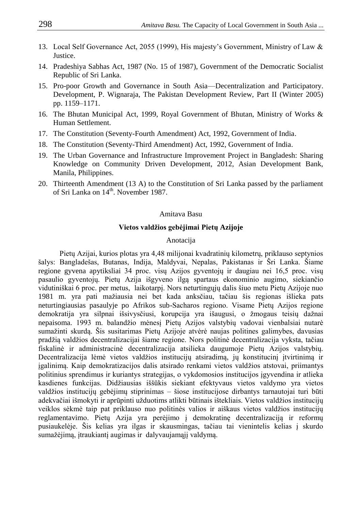- 13. Local Self Governance Act, 2055 (1999), His majesty's Government, Ministry of Law & Justice.
- 14. Pradeshiya Sabhas Act, 1987 (No. 15 of 1987), Government of the Democratic Socialist Republic of Sri Lanka.
- 15. Pro-poor Growth and Governance in South Asia—Decentralization and Participatory. Development, P. Wignaraja, The Pakistan Development Review, Part II (Winter 2005) pp. 1159–1171.
- 16. The Bhutan Municipal Act, 1999, Royal Government of Bhutan, Ministry of Works & Human Settlement.
- 17. The Constitution (Seventy-Fourth Amendment) Act, 1992, Government of India.
- 18. The Constitution (Seventy-Third Amendment) Act, 1992, Government of India.
- 19. The Urban Governance and Infrastructure Improvement Project in Bangladesh: Sharing Knowledge on Community Driven Development, 2012, Asian Development Bank, Manila, Philippines.
- 20. Thirteenth Amendment (13 A) to the Constitution of Sri Lanka passed by the parliament of Sri Lanka on 14<sup>th</sup>. November 1987.

#### Amitava Basu

#### **Vietos valdžios gebėjimai Pietų Azijoje**

#### Anotacija

Pietų Azijai, kurios plotas yra 4,48 milijonai kvadratinių kilometrų, priklauso septynios šalys: Bangladešas, Butanas, Indija, Maldyvai, Nepalas, Pakistanas ir Šri Lanka. Šiame regione gyvena apytiksliai 34 proc. visų Azijos gyventojų ir daugiau nei 16,5 proc. visų pasaulio gyventojų. Pietų Azija išgyveno ilgą spartaus ekonominio augimo, siekiančio vidutiniškai 6 proc. per metus, laikotarpį. Nors neturtingųjų dalis šiuo metu Pietų Azijoje nuo 1981 m. yra pati mažiausia nei bet kada anksčiau, tačiau šis regionas išlieka pats neturtingiausias pasaulyje po Afrikos sub-Sacharos regiono. Visame Pietų Azijos regione demokratija yra silpnai išsivysčiusi, korupcija yra išaugusi, o žmogaus teisių dažnai nepaisoma. 1993 m. balandžio mėnesį Pietų Azijos valstybių vadovai vienbalsiai nutarė sumažinti skurdą. Šis susitarimas Pietų Azijoje atvėrė naujas politines galimybes, davusias pradžią valdžios decentralizacijai šiame regione. Nors politinė decentralizacija vyksta, tačiau fiskalinė ir administracinė decentralizacija atsilieka daugumoje Pietų Azijos valstybių. Decentralizacija lėmė vietos valdžios institucijų atsiradimą, jų konstitucinį įtvirtinimą ir įgalinimą. Kaip demokratizacijos dalis atsirado renkami vietos valdžios atstovai, priimantys politinius sprendimus ir kuriantys strategijas, o vykdomosios institucijos įgyvendina ir atlieka kasdienes funkcijas. Didžiausias iššūkis siekiant efektyvaus vietos valdymo yra vietos valdžios institucijų gebėjimų stiprinimas – šiose institucijose dirbantys tarnautojai turi būti adekvačiai išmokyti ir aprūpinti užduotims atlikti būtinais ištekliais. Vietos valdžios institucijų veiklos sėkmė taip pat priklauso nuo politinės valios ir aiškaus vietos valdžios institucijų reglamentavimo. Pietų Azija yra perėjimo į demokratinę decentralizaciją ir reformų pusiaukelėje. Šis kelias yra ilgas ir skausmingas, tačiau tai vienintelis kelias į skurdo sumažėjimą, įtraukiantį augimas ir dalyvaujamąjį valdymą.